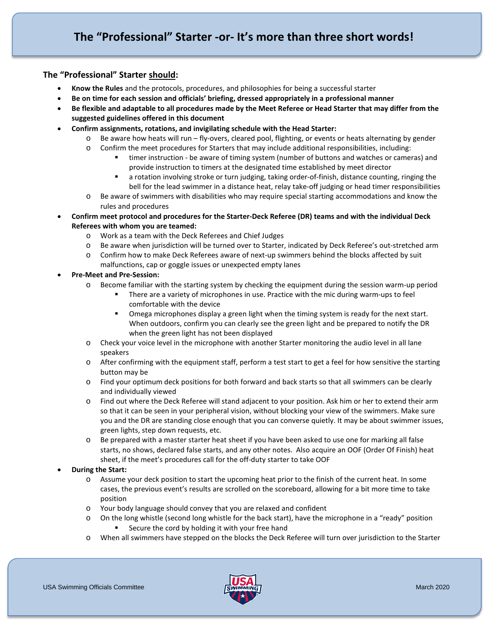# **The "Professional" Starter should:**

- **Know the Rules** and the protocols, procedures, and philosophies for being a successful starter
- **Be on time for each session and officials' briefing, dressed appropriately in a professional manner**
- **Be flexible and adaptable to all procedures made by the Meet Referee or Head Starter that may differ from the suggested guidelines offered in this document**
- **Confirm assignments, rotations, and invigilating schedule with the Head Starter:** 
	- o Be aware how heats will run fly-overs, cleared pool, flighting, or events or heats alternating by gender
	- o Confirm the meet procedures for Starters that may include additional responsibilities, including:
		- timer instruction be aware of timing system (number of buttons and watches or cameras) and provide instruction to timers at the designated time established by meet director
		- a rotation involving stroke or turn judging, taking order-of-finish, distance counting, ringing the bell for the lead swimmer in a distance heat, relay take-off judging or head timer responsibilities
	- o Be aware of swimmers with disabilities who may require special starting accommodations and know the rules and procedures
- **Confirm meet protocol and procedures for the Starter-Deck Referee (DR) teams and with the individual Deck Referees with whom you are teamed:**
	- o Work as a team with the Deck Referees and Chief Judges
	- o Be aware when jurisdiction will be turned over to Starter, indicated by Deck Referee's out-stretched arm
	- o Confirm how to make Deck Referees aware of next-up swimmers behind the blocks affected by suit malfunctions, cap or goggle issues or unexpected empty lanes
- **Pre-Meet and Pre-Session:**
	- o Become familiar with the starting system by checking the equipment during the session warm-up period
		- There are a variety of microphones in use. Practice with the mic during warm-ups to feel comfortable with the device
		- Omega microphones display a green light when the timing system is ready for the next start. When outdoors, confirm you can clearly see the green light and be prepared to notify the DR when the green light has not been displayed
	- o Check your voice level in the microphone with another Starter monitoring the audio level in all lane speakers
	- o After confirming with the equipment staff, perform a test start to get a feel for how sensitive the starting button may be
	- o Find your optimum deck positions for both forward and back starts so that all swimmers can be clearly and individually viewed
	- o Find out where the Deck Referee will stand adjacent to your position. Ask him or her to extend their arm so that it can be seen in your peripheral vision, without blocking your view of the swimmers. Make sure you and the DR are standing close enough that you can converse quietly. It may be about swimmer issues, green lights, step down requests, etc.
	- o Be prepared with a master starter heat sheet if you have been asked to use one for marking all false starts, no shows, declared false starts, and any other notes. Also acquire an OOF (Order Of Finish) heat sheet, if the meet's procedures call for the off-duty starter to take OOF

#### • **During the Start:**

- o Assume your deck position to start the upcoming heat prior to the finish of the current heat. In some cases, the previous event's results are scrolled on the scoreboard, allowing for a bit more time to take position
- o Your body language should convey that you are relaxed and confident
- o On the long whistle (second long whistle for the back start), have the microphone in a "ready" position Secure the cord by holding it with your free hand
- o When all swimmers have stepped on the blocks the Deck Referee will turn over jurisdiction to the Starter

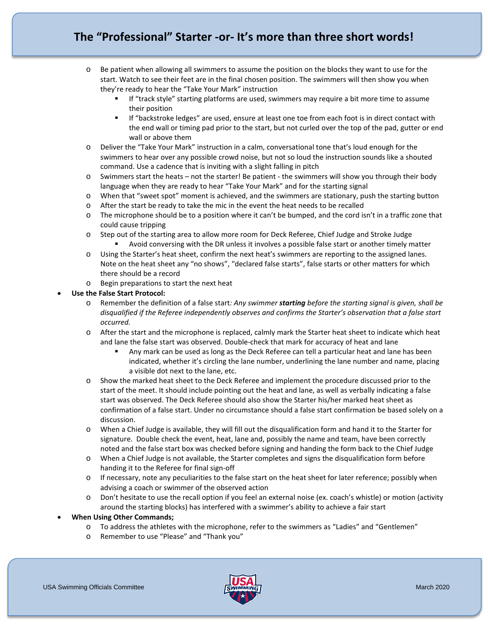# **The "Professional" Starter -or- It's more than three short words!**

- o Be patient when allowing all swimmers to assume the position on the blocks they want to use for the start. Watch to see their feet are in the final chosen position. The swimmers will then show you when they're ready to hear the "Take Your Mark" instruction
	- If "track style" starting platforms are used, swimmers may require a bit more time to assume their position
	- If "backstroke ledges" are used, ensure at least one toe from each foot is in direct contact with the end wall or timing pad prior to the start, but not curled over the top of the pad, gutter or end wall or above them
- o Deliver the "Take Your Mark" instruction in a calm, conversational tone that's loud enough for the swimmers to hear over any possible crowd noise, but not so loud the instruction sounds like a shouted command. Use a cadence that is inviting with a slight falling in pitch
- o Swimmers start the heats not the starter! Be patient the swimmers will show you through their body language when they are ready to hear "Take Your Mark" and for the starting signal
- o When that "sweet spot" moment is achieved, and the swimmers are stationary, push the starting button
- o After the start be ready to take the mic in the event the heat needs to be recalled
- o The microphone should be to a position where it can't be bumped, and the cord isn't in a traffic zone that could cause tripping
- o Step out of the starting area to allow more room for Deck Referee, Chief Judge and Stroke Judge Avoid conversing with the DR unless it involves a possible false start or another timely matter
- o Using the Starter's heat sheet, confirm the next heat's swimmers are reporting to the assigned lanes. Note on the heat sheet any "no shows", "declared false starts", false starts or other matters for which there should be a record
- o Begin preparations to start the next heat

## • **Use the False Start Protocol:**

- o Remember the definition of a false start*: Any swimmer starting before the starting signal is given, shall be disqualified if the Referee independently observes and confirms the Starter's observation that a false start occurred.*
- o After the start and the microphone is replaced, calmly mark the Starter heat sheet to indicate which heat and lane the false start was observed. Double-check that mark for accuracy of heat and lane
	- Any mark can be used as long as the Deck Referee can tell a particular heat and lane has been indicated, whether it's circling the lane number, underlining the lane number and name, placing a visible dot next to the lane, etc.
- o Show the marked heat sheet to the Deck Referee and implement the procedure discussed prior to the start of the meet. It should include pointing out the heat and lane, as well as verbally indicating a false start was observed. The Deck Referee should also show the Starter his/her marked heat sheet as confirmation of a false start. Under no circumstance should a false start confirmation be based solely on a discussion.
- o When a Chief Judge is available, they will fill out the disqualification form and hand it to the Starter for signature. Double check the event, heat, lane and, possibly the name and team, have been correctly noted and the false start box was checked before signing and handing the form back to the Chief Judge
- o When a Chief Judge is not available, the Starter completes and signs the disqualification form before handing it to the Referee for final sign-off
- o If necessary, note any peculiarities to the false start on the heat sheet for later reference; possibly when advising a coach or swimmer of the observed action
- o Don't hesitate to use the recall option if you feel an external noise (ex. coach's whistle) or motion (activity around the starting blocks) has interfered with a swimmer's ability to achieve a fair start

#### • **When Using Other Commands;**

- o To address the athletes with the microphone, refer to the swimmers as "Ladies" and "Gentlemen"
- o Remember to use "Please" and "Thank you"

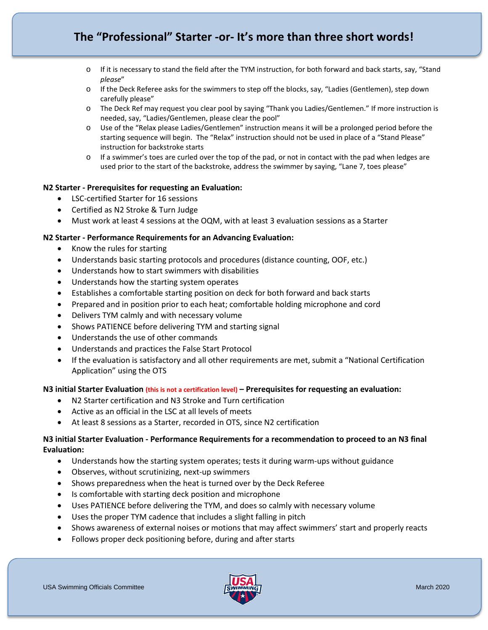# **The "Professional" Starter -or- It's more than three short words!**

- o If it is necessary to stand the field after the TYM instruction, for both forward and back starts, say, "Stand *please*"
- o If the Deck Referee asks for the swimmers to step off the blocks, say, "Ladies (Gentlemen), step down carefully please"
- o The Deck Ref may request you clear pool by saying "Thank you Ladies/Gentlemen." If more instruction is needed, say, "Ladies/Gentlemen, please clear the pool"
- o Use of the "Relax please Ladies/Gentlemen" instruction means it will be a prolonged period before the starting sequence will begin. The "Relax" instruction should not be used in place of a "Stand Please" instruction for backstroke starts
- o If a swimmer's toes are curled over the top of the pad, or not in contact with the pad when ledges are used prior to the start of the backstroke, address the swimmer by saying, "Lane 7, toes please"

## **N2 Starter - Prerequisites for requesting an Evaluation:**

- LSC-certified Starter for 16 sessions
- Certified as N2 Stroke & Turn Judge
- Must work at least 4 sessions at the OQM, with at least 3 evaluation sessions as a Starter

#### **N2 Starter - Performance Requirements for an Advancing Evaluation:**

- Know the rules for starting
- Understands basic starting protocols and procedures (distance counting, OOF, etc.)
- Understands how to start swimmers with disabilities
- Understands how the starting system operates
- Establishes a comfortable starting position on deck for both forward and back starts
- Prepared and in position prior to each heat; comfortable holding microphone and cord
- Delivers TYM calmly and with necessary volume
- Shows PATIENCE before delivering TYM and starting signal
- Understands the use of other commands
- Understands and practices the False Start Protocol
- If the evaluation is satisfactory and all other requirements are met, submit a "National Certification Application" using the OTS

#### **N3 initial Starter Evaluation (this is not a certification level) – Prerequisites for requesting an evaluation:**

- N2 Starter certification and N3 Stroke and Turn certification
- Active as an official in the LSC at all levels of meets
- At least 8 sessions as a Starter, recorded in OTS, since N2 certification

## **N3 initial Starter Evaluation - Performance Requirements for a recommendation to proceed to an N3 final Evaluation:**

- Understands how the starting system operates; tests it during warm-ups without guidance
- Observes, without scrutinizing, next-up swimmers
- Shows preparedness when the heat is turned over by the Deck Referee
- Is comfortable with starting deck position and microphone
- Uses PATIENCE before delivering the TYM, and does so calmly with necessary volume
- Uses the proper TYM cadence that includes a slight falling in pitch
- Shows awareness of external noises or motions that may affect swimmers' start and properly reacts
- Follows proper deck positioning before, during and after starts